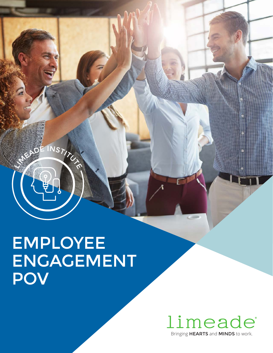EMPLOYEE ENGAGEMENT POV

INSTITUTION

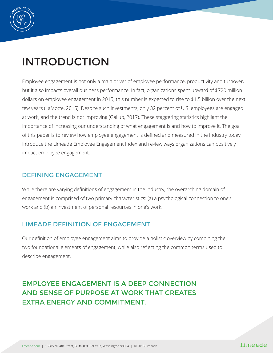

# INTRODUCTION

Employee engagement is not only a main driver of employee performance, productivity and turnover, but it also impacts overall business performance. In fact, organizations spent upward of \$720 million dollars on employee engagement in 2015; this number is expected to rise to \$1.5 billion over the next few years (LaMotte, 2015). Despite such investments, only 32 percent of U.S. employees are engaged at work, and the trend is not improving (Gallup, 2017). These staggering statistics highlight the importance of increasing our understanding of what engagement is and how to improve it. The goal of this paper is to review how employee engagement is defined and measured in the industry today, introduce the Limeade Employee Engagement Index and review ways organizations can positively impact employee engagement.

### DEFINING ENGAGEMENT

While there are varying definitions of engagement in the industry, the overarching domain of engagement is comprised of two primary characteristics: (a) a psychological connection to one's work and (b) an investment of personal resources in one's work.

### LIMEADE DEFINITION OF ENGAGEMENT

Our definition of employee engagement aims to provide a holistic overview by combining the two foundational elements of engagement, while also reflecting the common terms used to describe engagement.

# EMPLOYEE ENGAGEMENT IS A DEEP CONNECTION AND SENSE OF PURPOSE AT WORK THAT CREATES EXTRA ENERGY AND COMMITMENT.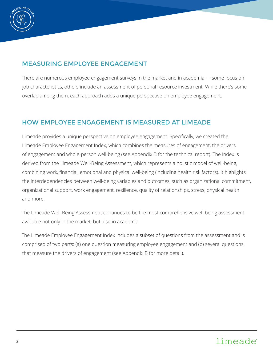

## MEASURING EMPLOYEE ENGAGEMENT

There are numerous employee engagement surveys in the market and in academia — some focus on job characteristics, others include an assessment of personal resource investment. While there's some overlap among them, each approach adds a unique perspective on employee engagement.

### HOW EMPLOYEE ENGAGEMENT IS MEASURED AT LIMEADE

Limeade provides a unique perspective on employee engagement. Specifically, we created the Limeade Employee Engagement Index, which combines the measures of engagement, the drivers of engagement and whole-person well-being (see Appendix B for the technical report). The Index is derived from the Limeade Well-Being Assessment, which represents a holistic model of well-being, combining work, financial, emotional and physical well-being (including health risk factors). It highlights the interdependencies between well-being variables and outcomes, such as organizational commitment, organizational support, work engagement, resilience, quality of relationships, stress, physical health and more.

The Limeade Well-Being Assessment continues to be the most comprehensive well-being assessment available not only in the market, but also in academia.

The Limeade Employee Engagement Index includes a subset of questions from the assessment and is comprised of two parts: (a) one question measuring employee engagement and (b) several questions that measure the drivers of engagement (see Appendix B for more detail).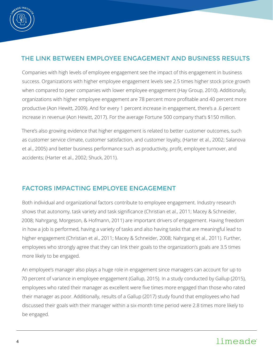

# THE LINK BETWEEN EMPLOYEE ENGAGEMENT AND BUSINESS RESULTS

Companies with high levels of employee engagement see the impact of this engagement in business success. Organizations with higher employee engagement levels see 2.5 times higher stock price growth when compared to peer companies with lower employee engagement (Hay Group, 2010). Additionally, organizations with higher employee engagement are 78 percent more profitable and 40 percent more productive (Aon Hewitt, 2009). And for every 1 percent increase in engagement, there's a .6 percent increase in revenue (Aon Hewitt, 2017). For the average Fortune 500 company that's \$150 million.

There's also growing evidence that higher engagement is related to better customer outcomes, such as customer service climate, customer satisfaction, and customer loyalty, (Harter et al., 2002; Salanova et al., 2005) and better business performance such as productivity, profit, employee turnover, and accidents; (Harter et al., 2002; Shuck, 2011).

### FACTORS IMPACTING EMPLOYEE ENGAGEMENT

Both individual and organizational factors contribute to employee engagement. Industry research shows that autonomy, task variety and task significance (Christian et al., 2011; Macey & Schneider, 2008; Nahrgang, Morgeson, & Hofmann, 2011) are important drivers of engagement. Having freedom in how a job is performed, having a variety of tasks and also having tasks that are meaningful lead to higher engagement (Christian et al., 2011; Macey & Schneider, 2008; Nahrgang et al., 2011). Further, employees who strongly agree that they can link their goals to the organization's goals are 3.5 times more likely to be engaged.

An employee's manager also plays a huge role in engagement since managers can account for up to 70 percent of variance in employee engagement (Gallup, 2015). In a study conducted by Gallup (2015), employees who rated their manager as excellent were five times more engaged than those who rated their manager as poor. Additionally, results of a Gallup (2017) study found that employees who had discussed their goals with their manager within a six-month time period were 2.8 times more likely to be engaged.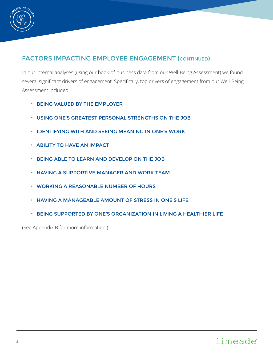

## FACTORS IMPACTING EMPLOYEE ENGAGEMENT (CONTINUED)

In our internal analyses (using our book-of-business data from our Well-Being Assessment) we found several significant drivers of engagement. Specifically, top drivers of engagement from our Well-Being Assessment included:

- BEING VALUED BY THE EMPLOYER
- USING ONE'S GREATEST PERSONAL STRENGTHS ON THE JOB
- IDENTIFYING WITH AND SEEING MEANING IN ONE'S WORK
- ABILITY TO HAVE AN IMPACT
- BEING ABLE TO LEARN AND DEVELOP ON THE JOB
- HAVING A SUPPORTIVE MANAGER AND WORK TEAM
- WORKING A REASONABLE NUMBER OF HOURS
- HAVING A MANAGEABLE AMOUNT OF STRESS IN ONE'S LIFE
- BEING SUPPORTED BY ONE'S ORGANIZATION IN LIVING A HEALTHIER LIFE

(See Appendix B for more information.)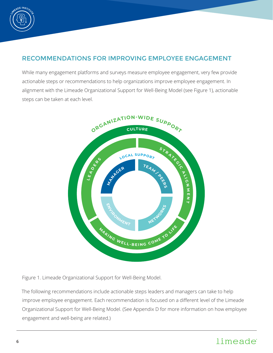

# RECOMMENDATIONS FOR IMPROVING EMPLOYEE ENGAGEMENT

While many engagement platforms and surveys measure employee engagement, very few provide actionable steps or recommendations to help organizations improve employee engagement. In alignment with the Limeade Organizational Support for Well-Being Model (see Figure 1), actionable steps can be taken at each level.



Figure 1. Limeade Organizational Support for Well-Being Model.

The following recommendations include actionable steps leaders and managers can take to help improve employee engagement. Each recommendation is focused on a different level of the Limeade Organizational Support for Well-Being Model. (See Appendix D for more information on how employee engagement and well-being are related.)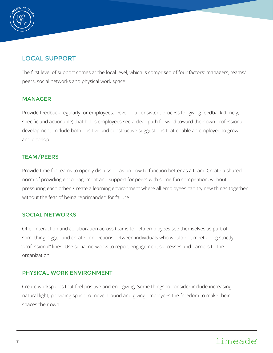

# LOCAL SUPPORT

The first level of support comes at the local level, which is comprised of four factors: managers, teams/ peers, social networks and physical work space.

#### MANAGER

Provide feedback regularly for employees. Develop a consistent process for giving feedback (timely, specific and actionable) that helps employees see a clear path forward toward their own professional development. Include both positive and constructive suggestions that enable an employee to grow and develop.

### TEAM/PEERS

Provide time for teams to openly discuss ideas on how to function better as a team. Create a shared norm of providing encouragement and support for peers with some fun competition, without pressuring each other. Create a learning environment where all employees can try new things together without the fear of being reprimanded for failure.

### SOCIAL NETWORKS

Offer interaction and collaboration across teams to help employees see themselves as part of something bigger and create connections between individuals who would not meet along strictly "professional" lines. Use social networks to report engagement successes and barriers to the organization.

### PHYSICAL WORK ENVIRONMENT

Create workspaces that feel positive and energizing. Some things to consider include increasing natural light, providing space to move around and giving employees the freedom to make their spaces their own.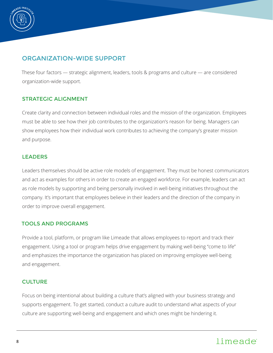

## ORGANIZATION-WIDE SUPPORT

These four factors — strategic alignment, leaders, tools & programs and culture — are considered organization-wide support.

### STRATEGIC ALIGNMENT

Create clarity and connection between individual roles and the mission of the organization. Employees must be able to see how their job contributes to the organization's reason for being. Managers can show employees how their individual work contributes to achieving the company's greater mission and purpose.

### LEADERS

Leaders themselves should be active role models of engagement. They must be honest communicators and act as examples for others in order to create an engaged workforce. For example, leaders can act as role models by supporting and being personally involved in well-being initiatives throughout the company. It's important that employees believe in their leaders and the direction of the company in order to improve overall engagement.

### TOOLS AND PROGRAMS

Provide a tool, platform, or program like Limeade that allows employees to report and track their engagement. Using a tool or program helps drive engagement by making well-being "come to life" and emphasizes the importance the organization has placed on improving employee well-being and engagement.

### **CULTURE**

Focus on being intentional about building a culture that's aligned with your business strategy and supports engagement. To get started, conduct a culture audit to understand what aspects of your culture are supporting well-being and engagement and which ones might be hindering it.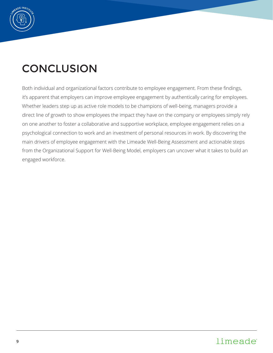

# **CONCLUSION**

Both individual and organizational factors contribute to employee engagement. From these findings, it's apparent that employers can improve employee engagement by authentically caring for employees. Whether leaders step up as active role models to be champions of well-being, managers provide a direct line of growth to show employees the impact they have on the company or employees simply rely on one another to foster a collaborative and supportive workplace, employee engagement relies on a psychological connection to work and an investment of personal resources in work. By discovering the main drivers of employee engagement with the Limeade Well-Being Assessment and actionable steps from the Organizational Support for Well-Being Model, employers can uncover what it takes to build an engaged workforce.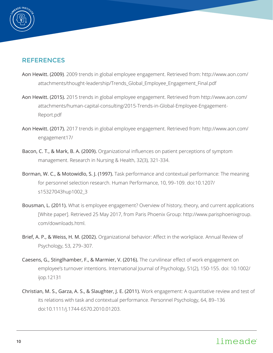

## **REFERENCES**

- Aon Hewitt. (2009). 2009 trends in global employee engagement. Retrieved from: http://www.aon.com/ attachments/thought-leadership/Trends\_Global\_Employee\_Engagement\_Final.pdf
- Aon Hewitt. (2015). 2015 trends in global employee engagement. Retrieved from http://www.aon.com/ attachments/human-capital-consulting/2015-Trends-in-Global-Employee-Engagement-Report.pdf
- Aon Hewitt. (2017). 2017 trends in global employee engagement. Retrieved from: http://www.aon.com/ engagement17/
- Bacon, C. T., & Mark, B. A. (2009). Organizational influences on patient perceptions of symptom management. Research in Nursing & Health, 32(3), 321-334.
- Borman, W. C., & Motowidlo, S. J. (1997). Task performance and contextual performance: The meaning for personnel selection research. Human Performance, 10, 99–109. doi:10.1207/ s15327043hup1002\_3
- Bousman, L. (2011). What is employee engagement? Overview of history, theory, and current applications [White paper]. Retrieved 25 May 2017, from Paris Phoenix Group: http://www.parisphoenixgroup. com/downloads.html.
- Brief, A. P., & Weiss, H. M. (2002). Organizational behavior: Affect in the workplace. Annual Review of Psychology, 53, 279–307.
- Caesens, G., Stinglhamber, F., & Marmier, V. (2016). The curvilinear effect of work engagement on employee's turnover intentions. International Journal of Psychology, 51(2), 150-155. doi: 10.1002/ ijop.12131
- Christian, M. S., Garza, A. S., & Slaughter, J. E. (2011). Work engagement: A quantitative review and test of its relations with task and contextual performance. Personnel Psychology, 64, 89–136 doi:10.1111/j.1744-6570.2010.01203.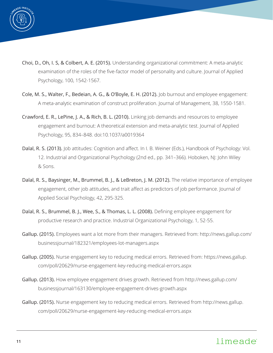

- Choi, D., Oh, I. S, & Colbert, A. E. (2015). Understanding organizational commitment: A meta-analytic examination of the roles of the five-factor model of personality and culture. Journal of Applied Psychology, 100, 1542-1567.
- Cole, M. S., Walter, F., Bedeian, A. G., & O'Boyle, E. H. (2012). Job burnout and employee engagement: A meta-analytic examination of construct proliferation. Journal of Management, 38, 1550-1581.
- Crawford, E. R., LePine, J. A., & Rich, B. L. (2010). Linking job demands and resources to employee engagement and burnout: A theoretical extension and meta-analytic test. Journal of Applied Psychology, 95, 834–848. doi:10.1037/a0019364
- Dalal, R. S. (2013). Job attitudes: Cognition and affect. In I. B. Weiner (Eds.), Handbook of Psychology: Vol. 12. Industrial and Organizational Psychology (2nd ed., pp. 341–366). Hoboken, NJ: John Wiley & Sons.
- Dalal, R. S., Baysinger, M., Brummel, B. J., & LeBreton, J. M. (2012). The relative importance of employee engagement, other job attitudes, and trait affect as predictors of job performance. Journal of Applied Social Psychology, 42, 295-325.
- Dalal, R. S., Brummel, B. J., Wee, S., & Thomas, L. L. (2008). Defining employee engagement for productive research and practice. Industrial Organizational Psychology, 1, 52-55.
- Gallup. (2015). Employees want a lot more from their managers. Retrieved from: http://news.gallup.com/ businessjournal/182321/employees-lot-managers.aspx
- Gallup. (2005). Nurse engagement key to reducing medical errors. Retrieved from: https://news.gallup. com/poll/20629/nurse-engagement-key-reducing-medical-errors.aspx
- Gallup. (2013). How employee engagement drives growth. Retrieved from http://news.gallup.com/ businessjournal/163130/employee-engagement-drives-growth.aspx
- Gallup. (2015). Nurse engagement key to reducing medical errors. Retrieved from http://news.gallup. com/poll/20629/nurse-engagement-key-reducing-medical-errors.aspx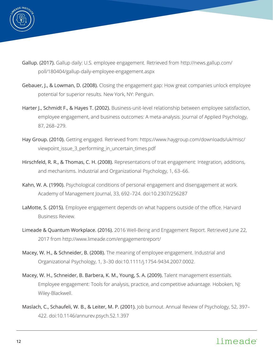

- Gallup. (2017). Gallup daily: U.S. employee engagement. Retrieved from http://news.gallup.com/ poll/180404/gallup-daily-employee-engagement.aspx
- Gebauer, J., & Lowman, D. (2008). Closing the engagement gap: How great companies unlock employee potential for superior results. New York, NY: Penguin.
- Harter J., Schmidt F., & Hayes T. (2002). Business-unit-level relationship between employee satisfaction, employee engagement, and business outcomes: A meta-analysis. Journal of Applied Psychology, 87, 268–279.
- Hay Group. (2010). Getting engaged. Retrieved from: https://www.haygroup.com/downloads/uk/misc/ viewpoint\_issue\_3\_performing\_in\_uncertain\_times.pdf
- Hirschfeld, R. R., & Thomas, C. H. (2008). Representations of trait engagement: Integration, additions, and mechanisms. Industrial and Organizational Psychology, 1, 63–66.
- Kahn, W. A. (1990). Psychological conditions of personal engagement and disengagement at work. Academy of Management Journal, 33, 692–724. doi:10.2307/256287
- LaMotte, S. (2015). Employee engagement depends on what happens outside of the office. Harvard Business Review.
- Limeade & Quantum Workplace. (2016). 2016 Well-Being and Engagement Report. Retrieved June 22, 2017 from http://www.limeade.com/engagementreport/
- Macey, W. H., & Schneider, B. (2008). The meaning of employee engagement. Industrial and Organizational Psychology, 1, 3–30 doi:10.1111/j.1754-9434.2007.0002.
- Macey, W. H., Schneider, B. Barbera, K. M., Young, S. A. (2009). Talent management essentials. Employee engagement: Tools for analysis, practice, and competitive advantage. Hoboken, NJ: Wiley-Blackwell.
- Maslach, C., Schaufeli, W. B., & Leiter, M. P. (2001). Job burnout. Annual Review of Psychology, 52, 397– 422. doi:10.1146/annurev.psych.52.1.397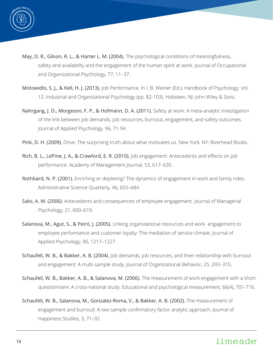

- May, D. R., Gilson, R. L., & Harter L. M. (2004). The psychological conditions of meaningfulness, safety and availability and the engagement of the human spirit at work. Journal of Occupational and Organizational Psychology, 77, 11–37.
- Motowidlo, S. J., & Kell, H. J. (2013). Job Performance. In I. B. Weiner (Ed.), Handbook of Psychology: Vol. 12. Industrial and Organizational Psychology (pp. 82-103). Hoboken, NJ: John Wiley & Sons.
- Nahrgang, J. D., Morgeson, F. P., & Hofmann, D. A. (2011). Safety at work: A meta-analytic investigation of the link between job demands, job resources, burnout, engagement, and safety outcomes. Journal of Applied Psychology, 96, 71-94.
- Pink, D. H. (2009). Drive: The surprising truth about what motivates us. New York, NY: Riverhead Books.
- Rich, B. L., LePine, J. A., & Crawford, E. R. (2010). Job engagement: Antecedents and effects on job performance. Academy of Management Journal, 53, 617–635.
- Rothbard, N. P. (2001). Enriching or depleting? The dynamics of engagement in work and family roles. Administrative Science Quarterly, 46, 655–684.
- Saks, A. M. (2006). Antecedents and consequences of employee engagement. Journal of Managerial Psychology, 21, 600–619.
- Salanova, M., Agut, S., & Peiró, J. (2005). Linking organizational resources and work engagement to employee performance and customer loyalty: The mediation of service climate. Journal of Applied Psychology, 90, 1217–1227.
- Schaufeli, W. B., & Bakker, A. B. (2004). Job demands, job resources, and their relationship with burnout and engagement: A multi-sample study. Journal of Organizational Behavior, 25, 293–315.
- Schaufeli, W. B., Bakker, A. B., & Salanova, M. (2006). The measurement of work engagement with a short questionnaire: A cross-national study. Educational and psychological measurement, 66(4), 701-716.
- Schaufeli, W. B., Salanova, M., Gonzalez-Roma, V., & Bakker, A. B. (2002). The measurement of engagement and burnout: A two sample confirmatory factor analytic approach. Journal of Happiness Studies, 3, 71–92.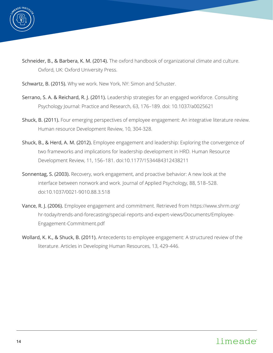

- Schneider, B., & Barbera, K. M. (2014). The oxford handbook of organizational climate and culture. Oxford, UK: Oxford University Press.
- Schwartz, B. (2015). Why we work. New York, NY: Simon and Schuster.
- Serrano, S. A. & Reichard, R. J. (2011). Leadership strategies for an engaged workforce. Consulting Psychology Journal: Practice and Research, 63, 176–189. doi: 10.1037/a0025621
- Shuck, B. (2011). Four emerging perspectives of employee engagement: An integrative literature review. Human resource Development Review, 10, 304-328.
- Shuck, B., & Herd, A. M. (2012). Employee engagement and leadership: Exploring the convergence of two frameworks and implications for leadership development in HRD. Human Resource Development Review, 11, 156–181. doi:10.1177/1534484312438211
- Sonnentag, S. (2003). Recovery, work engagement, and proactive behavior: A new look at the interface between nonwork and work. Journal of Applied Psychology, 88, 518–528. doi:10.1037/0021-9010.88.3.518
- Vance, R. J. (2006). Employee engagement and commitment. Retrieved from https://www.shrm.org/ hr-today/trends-and-forecasting/special-reports-and-expert-views/Documents/Employee-Engagement-Commitment.pdf
- Wollard, K. K., & Shuck, B. (2011). Antecedents to employee engagement: A structured review of the literature. Articles in Developing Human Resources, 13, 429-446.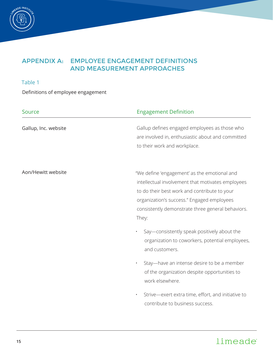

### Table 1

Definitions of employee engagement

| Source               | <b>Engagement Definition</b>                                                                                                                                                                                                                                  |
|----------------------|---------------------------------------------------------------------------------------------------------------------------------------------------------------------------------------------------------------------------------------------------------------|
| Gallup, Inc. website | Gallup defines engaged employees as those who<br>are involved in, enthusiastic about and committed<br>to their work and workplace.                                                                                                                            |
| Aon/Hewitt website   | "We define 'engagement' as the emotional and<br>intellectual involvement that motivates employees<br>to do their best work and contribute to your<br>organization's success." Engaged employees<br>consistently demonstrate three general behaviors.<br>They: |
|                      | Say—consistently speak positively about the<br>$\bullet$<br>organization to coworkers, potential employees,<br>and customers.                                                                                                                                 |
|                      | Stay-have an intense desire to be a member<br>$\bullet$<br>of the organization despite opportunities to<br>work elsewhere.                                                                                                                                    |
|                      | Strive-exert extra time, effort, and initiative to<br>٠<br>contribute to business success.                                                                                                                                                                    |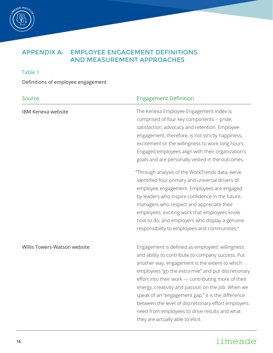

### Table 1

Definitions of employee engagement

| Source<br><b>Engagement Definition</b> |                                                                                                                                                                                                                                                                                                                                                                                                                                                                                                                               |
|----------------------------------------|-------------------------------------------------------------------------------------------------------------------------------------------------------------------------------------------------------------------------------------------------------------------------------------------------------------------------------------------------------------------------------------------------------------------------------------------------------------------------------------------------------------------------------|
| <b>IBM Kenexa website</b>              | The Kenexa Employee Engagement Index is<br>comprised of four key components -- pride,<br>satisfaction, advocacy and retention. Employee<br>engagement, therefore, is not strictly happiness,<br>excitement or the willingness to work long hours.<br>Engaged employees align with their organization's<br>goals and are personally vested in the outcomes.                                                                                                                                                                    |
|                                        | "Through analysis of the WorkTrends data, we've<br>identified four primary and universal drivers of<br>employee engagement. Employees are engaged<br>by leaders who inspire confidence in the future;<br>managers who respect and appreciate their<br>employees; exciting work that employees know<br>how to do; and employers who display a genuine<br>responsibility to employees and communities."                                                                                                                         |
| Willis Towers-Watson website           | Engagement is defined as employees' willingness<br>and ability to contribute to company success. Put<br>another way, engagement is the extent to which<br>employees "go the extra mile" and put discretionary<br>effort into their work - contributing more of their<br>energy, creativity and passion on the job. When we<br>speak of an "engagement gap," it is the difference<br>between the level of discretionary effort employers<br>need from employees to drive results and what<br>they are actually able to elicit. |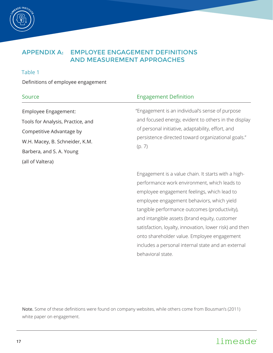

#### Table 1

Definitions of employee engagement

| Source                                                                                 | <b>Engagement Definition</b>                                                                                      |  |
|----------------------------------------------------------------------------------------|-------------------------------------------------------------------------------------------------------------------|--|
| Employee Engagement:                                                                   | "Engagement is an individual's sense of purpose                                                                   |  |
| Tools for Analysis, Practice, and                                                      | and focused energy, evident to others in the display                                                              |  |
| Competitive Advantage by<br>W.H. Macey, B. Schneider, K.M.<br>Barbera, and S. A. Young | of personal initiative, adaptability, effort, and<br>persistence directed toward organizational goals."<br>(p. 7) |  |
| (all of Valtera)                                                                       |                                                                                                                   |  |
|                                                                                        | Engagomont is a value chain It starts with a high                                                                 |  |

Engagement is a value chain. It starts with a highperformance work environment, which leads to employee engagement feelings, which lead to employee engagement behaviors, which yield tangible performance outcomes (productivity), and intangible assets (brand equity, customer satisfaction, loyalty, innovation, lower risk) and then onto shareholder value. Employee engagement includes a personal internal state and an external behavioral state.

Note. Some of these definitions were found on company websites, while others come from Bousman's (2011) white paper on engagement.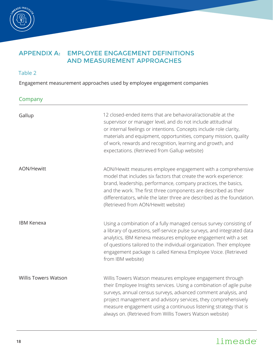

### Table 2

Engagement measurement approaches used by employee engagement companies

### Company

| Gallup                      | 12 closed-ended items that are behavioral/actionable at the<br>supervisor or manager level, and do not include attitudinal<br>or internal feelings or intentions. Concepts include role clarity,<br>materials and equipment, opportunities, company mission, quality<br>of work, rewards and recognition, learning and growth, and<br>expectations. (Retrieved from Gallup website)                   |
|-----------------------------|-------------------------------------------------------------------------------------------------------------------------------------------------------------------------------------------------------------------------------------------------------------------------------------------------------------------------------------------------------------------------------------------------------|
| <b>AON/Hewitt</b>           | AON/Hewitt measures employee engagement with a comprehensive<br>model that includes six factors that create the work experience:<br>brand, leadership, performance, company practices, the basics,<br>and the work. The first three components are described as their<br>differentiators, while the later three are described as the foundation.<br>(Retrieved from AON/Hewitt website)               |
| <b>IBM Kenexa</b>           | Using a combination of a fully managed census survey consisting of<br>a library of questions, self-service pulse surveys, and integrated data<br>analytics, IBM Kenexa measures employee engagement with a set<br>of questions tailored to the individual organization. Their employee<br>engagement package is called Kenexa Employee Voice. (Retrieved<br>from IBM website)                         |
| <b>Willis Towers Watson</b> | Willis Towers Watson measures employee engagement through<br>their Employee Insights services. Using a combination of agile pulse<br>surveys, annual census surveys, advanced comment analysis, and<br>project management and advisory services, they comprehensively<br>measure engagement using a continuous listening strategy that is<br>always on. (Retrieved from Willis Towers Watson website) |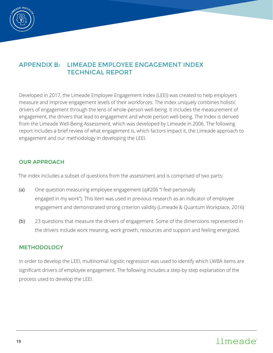

Developed in 2017, the Limeade Employee Engagement Index (LEEI) was created to help employers measure and improve engagement levels of their workforces. The Index uniquely combines holistic drivers of engagement through the lens of whole-person well-being. It includes the measurement of engagement, the drivers that lead to engagement and whole person well-being. The Index is derived from the Limeade Well-Being Assessment, which was developed by Limeade in 2006. The following report includes a brief review of what engagement is, which factors impact it, the Limeade approach to engagement and our methodology in developing the LEEI.

### OUR APPROACH

The index includes a subset of questions from the assessment and is comprised of two parts:

- (a) One question measuring employee engagement (q#206 "I feel personally engaged in my work"). This item was used in previous research as an indicator of employee engagement and demonstrated strong criterion validity (Limeade & Quantum Workplace, 2016)
- (b) 23 questions that measure the drivers of engagement. Some of the dimensions represented in the drivers include work meaning, work growth, resources and support and feeling energized.

#### **METHODOLOGY**

In order to develop the LEEI, multinomial logistic regression was used to identify which LWBA items are significant drivers of employee engagement. The following includes a step-by-step explanation of the process used to develop the LEEI.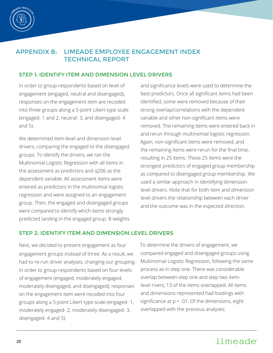

#### STEP 1: IDENTIFY ITEM AND DIMENSION LEVEL DRIVERS

In order to group respondents based on level of engagement (engaged, neutral and disengaged), responses on the engagement item are recoded into three groups along a 5-point Likert-type scale (engaged- 1 and 2, neutral- 3, and disengaged- 4 and 5).

We determined item-level and dimension-level drivers, comparing the engaged to the disengaged groups. To identify the drivers, we ran the Multinomial Logistic Regression with all items in the assessment as predictors and q206 as the dependent variable. All assessment items were entered as predictors in the multinomial logistic regression and were assigned to an engagement group. Then, the engaged and disengaged groups were compared to identify which items strongly predicted landing in the engaged group. B weights and significance levels were used to determine the best predictors. Once all significant items had been identified, some were removed because of their strong overlap/correlations with the dependent variable and other non-significant items were removed. The remaining items were entered back in and rerun through multinomial logistic regression. Again, non-significant items were removed, and the remaining items were rerun for the final time, resulting in 25 items. These 25 items were the strongest predictors of engaged group membership as compared to disengaged group membership. We used a similar approach in identifying dimensionlevel drivers. Note that for both item and dimension level drivers the relationship between each driver and the outcome was in the expected direction.

### STEP 2: IDENTIFY ITEM AND DIMENSION LEVEL DRIVERS

Next, we decided to present engagement as four engagement groups instead of three. As a result, we had to re-run driver analyses, changing our grouping. In order to group respondents based on four levels of engagement (engaged, moderately engaged, moderately disengaged, and disengaged), responses on the engagement item were recoded into four groups along a 5-point Likert-type scale (engaged- 1, moderately engaged- 2, moderately disengaged- 3, disengaged- 4 and 5).

To determine the drivers of engagement, we compared engaged and disengaged groups using Multinomial Logistic Regression, following the same process as in step one. There was considerable overlap between step one and step two itemlevel rivers; 13 of the items overlapped. All items and dimensions represented had loadings with significance at  $p < .01$ . Of the dimensions, eight overlapped with the previous analyses.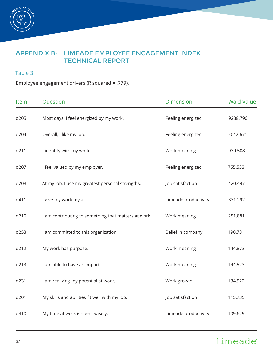

### Table 3

Employee engagement drivers (R squared = .779).

| Item | Question                                             | <b>Dimension</b>     | <b>Wald Value</b> |
|------|------------------------------------------------------|----------------------|-------------------|
| q205 | Most days, I feel energized by my work.              | Feeling energized    | 9288.796          |
| q204 | Overall, I like my job.                              | Feeling energized    | 2042.671          |
| q211 | I identify with my work.                             | Work meaning         | 939.508           |
| q207 | I feel valued by my employer.                        | Feeling energized    | 755.533           |
| q203 | At my job, I use my greatest personal strengths.     | Job satisfaction     | 420.497           |
| q411 | I give my work my all.                               | Limeade productivity | 331.292           |
| q210 | I am contributing to something that matters at work. | Work meaning         | 251.881           |
| q253 | I am committed to this organization.                 | Belief in company    | 190.73            |
| q212 | My work has purpose.                                 | Work meaning         | 144.873           |
| q213 | I am able to have an impact.                         | Work meaning         | 144.523           |
| q231 | I am realizing my potential at work.                 | Work growth          | 134.522           |
| q201 | My skills and abilities fit well with my job.        | Job satisfaction     | 115.735           |
| q410 | My time at work is spent wisely.                     | Limeade productivity | 109.629           |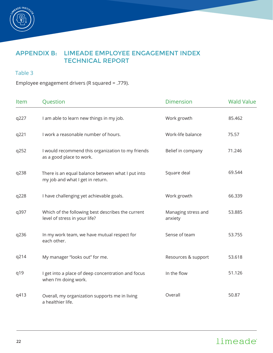

### Table 3

Employee engagement drivers (R squared = .779).

| Item | Question                                                                              | <b>Dimension</b>               | <b>Wald Value</b> |
|------|---------------------------------------------------------------------------------------|--------------------------------|-------------------|
| q227 | I am able to learn new things in my job.                                              | Work growth                    | 85.462            |
| q221 | I work a reasonable number of hours.                                                  | Work-life balance              | 75.57             |
| q252 | I would recommend this organization to my friends<br>as a good place to work.         | Belief in company              | 71.246            |
| q238 | There is an equal balance between what I put into<br>my job and what I get in return. | Square deal                    | 69.544            |
| q228 | I have challenging yet achievable goals.                                              | Work growth                    | 66.339            |
| q397 | Which of the following best describes the current<br>level of stress in your life?    | Managing stress and<br>anxiety | 53.885            |
| q236 | In my work team, we have mutual respect for<br>each other.                            | Sense of team                  | 53.755            |
| q214 | My manager "looks out" for me.                                                        | Resources & support            | 53.618            |
| q19  | I get into a place of deep concentration and focus<br>when I'm doing work.            | In the flow                    | 51.126            |
| q413 | Overall, my organization supports me in living<br>a healthier life.                   | Overall                        | 50.87             |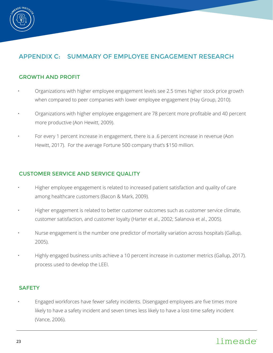

# APPENDIX C: SUMMARY OF EMPLOYEE ENGAGEMENT RESEARCH

#### GROWTH AND PROFIT

- Organizations with higher employee engagement levels see 2.5 times higher stock price growth when compared to peer companies with lower employee engagement (Hay Group, 2010).
- Organizations with higher employee engagement are 78 percent more profitable and 40 percent more productive (Aon Hewitt, 2009).
- For every 1 percent increase in engagement, there is a .6 percent increase in revenue (Aon Hewitt, 2017). For the average Fortune 500 company that's \$150 million.

#### CUSTOMER SERVICE AND SERVICE QUALITY

- Higher employee engagement is related to increased patient satisfaction and quality of care among healthcare customers (Bacon & Mark, 2009).
- Higher engagement is related to better customer outcomes such as customer service climate, customer satisfaction, and customer loyalty (Harter et al., 2002; Salanova et al., 2005).
- Nurse engagement is the number one predictor of mortality variation across hospitals (Gallup, 2005).
- Highly engaged business units achieve a 10 percent increase in customer metrics (Gallup, 2017). process used to develop the LEEI.

#### **SAFETY**

• Engaged workforces have fewer safety incidents. Disengaged employees are five times more likely to have a safety incident and seven times less likely to have a lost-time safety incident (Vance, 2006).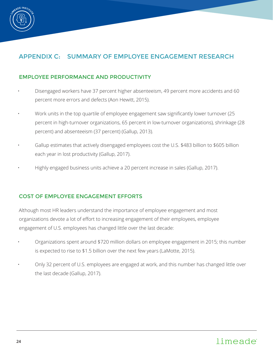

# APPENDIX C: SUMMARY OF EMPLOYEE ENGAGEMENT RESEARCH

### EMPLOYEE PERFORMANCE AND PRODUCTIVITY

- Disengaged workers have 37 percent higher absenteeism, 49 percent more accidents and 60 percent more errors and defects (Aon Hewitt, 2015).
- Work units in the top quartile of employee engagement saw significantly lower turnover (25 percent in high-turnover organizations, 65 percent in low-turnover organizations), shrinkage (28 percent) and absenteeism (37 percent) (Gallup, 2013).
- Gallup estimates that actively disengaged employees cost the U.S. \$483 billion to \$605 billion each year in lost productivity (Gallup, 2017).
- Highly engaged business units achieve a 20 percent increase in sales (Gallup, 2017).

### COST OF EMPLOYEE ENGAGEMENT EFFORTS

Although most HR leaders understand the importance of employee engagement and most organizations devote a lot of effort to increasing engagement of their employees, employee engagement of U.S. employees has changed little over the last decade:

- Organizations spent around \$720 million dollars on employee engagement in 2015; this number is expected to rise to \$1.5 billion over the next few years (LaMotte, 2015).
- Only 32 percent of U.S. employees are engaged at work, and this number has changed little over the last decade (Gallup, 2017).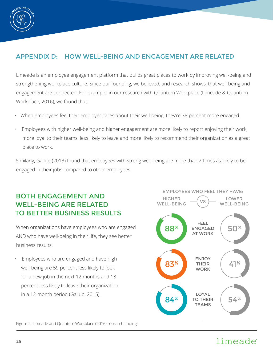

# APPENDIX D: HOW WELL-BEING AND ENGAGEMENT ARE RELATED

Limeade is an employee engagement platform that builds great places to work by improving well-being and strengthening workplace culture. Since our founding, we believed, and research shows, that well-being and engagement are connected. For example, in our research with Quantum Workplace (Limeade & Quantum Workplace, 2016), we found that:

- When employees feel their employer cares about their well-being, they're 38 percent more engaged.
- Employees with higher well-being and higher engagement are more likely to report enjoying their work, more loyal to their teams, less likely to leave and more likely to recommend their organization as a great place to work.

Similarly, Gallup (2013) found that employees with strong well-being are more than 2 times as likely to be engaged in their jobs compared to other employees.

# BOTH ENGAGEMENT AND WELL-BEING ARE RELATED TO BETTER BUSINESS RESULTS

When organizations have employees who are engaged AND who have well-being in their life, they see better business results.

• Employees who are engaged and have high well-being are 59 percent less likely to look for a new job in the next 12 months and 18 percent less likely to leave their organization in a 12-month period (Gallup, 2015).